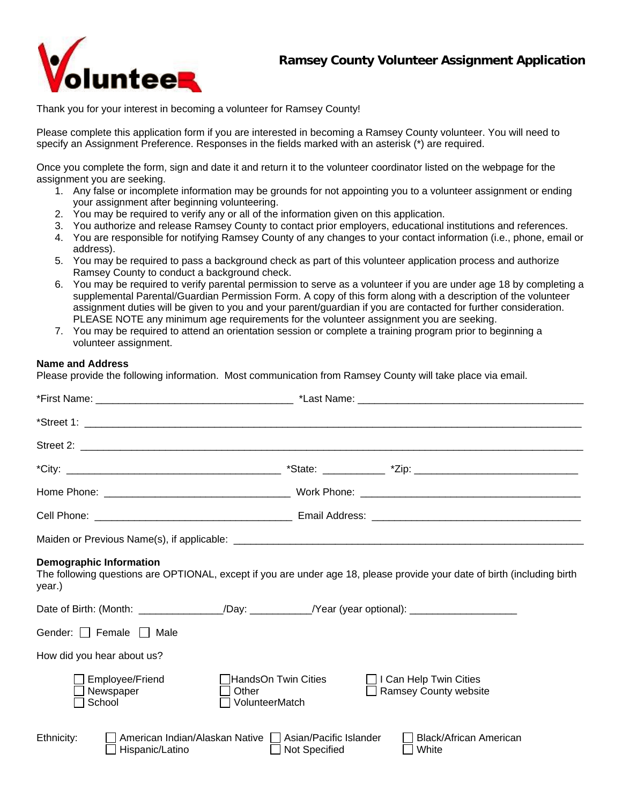

Thank you for your interest in becoming a volunteer for Ramsey County!

Please complete this application form if you are interested in becoming a Ramsey County volunteer. You will need to specify an Assignment Preference. Responses in the fields marked with an asterisk (\*) are required.

Once you complete the form, sign and date it and return it to the volunteer coordinator listed on the webpage for the assignment you are seeking.

- 1. Any false or incomplete information may be grounds for not appointing you to a volunteer assignment or ending your assignment after beginning volunteering.
- 2. You may be required to verify any or all of the information given on this application.
- 3. You authorize and release Ramsey County to contact prior employers, educational institutions and references.
- 4. You are responsible for notifying Ramsey County of any changes to your contact information (i.e., phone, email or address).
- 5. You may be required to pass a background check as part of this volunteer application process and authorize Ramsey County to conduct a background check.
- 6. You may be required to verify parental permission to serve as a volunteer if you are under age 18 by completing a supplemental Parental/Guardian Permission Form. A copy of this form along with a description of the volunteer assignment duties will be given to you and your parent/guardian if you are contacted for further consideration. PLEASE NOTE any minimum age requirements for the volunteer assignment you are seeking.
- 7. You may be required to attend an orientation session or complete a training program prior to beginning a volunteer assignment.

## **Name and Address**

Please provide the following information. Most communication from Ramsey County will take place via email.

| <b>Demographic Information</b><br>The following questions are OPTIONAL, except if you are under age 18, please provide your date of birth (including birth<br>year.) |                                                               |
|----------------------------------------------------------------------------------------------------------------------------------------------------------------------|---------------------------------------------------------------|
| Date of Birth: (Month: ________________/Day: ___________/Year (year optional): ____________________                                                                  |                                                               |
| Gender: Female Male                                                                                                                                                  |                                                               |
| How did you hear about us?                                                                                                                                           |                                                               |
| Employee/Friend<br>」HandsOn Twin Cities<br>Newspaper<br>Other<br>School<br>VolunteerMatch                                                                            | $\Box$ I Can Help Twin Cities<br><b>Ramsey County website</b> |
| American Indian/Alaskan Native   Asian/Pacific Islander<br>Ethnicity:<br>Hispanic/Latino<br>Not Specified                                                            | Black/African American<br>White                               |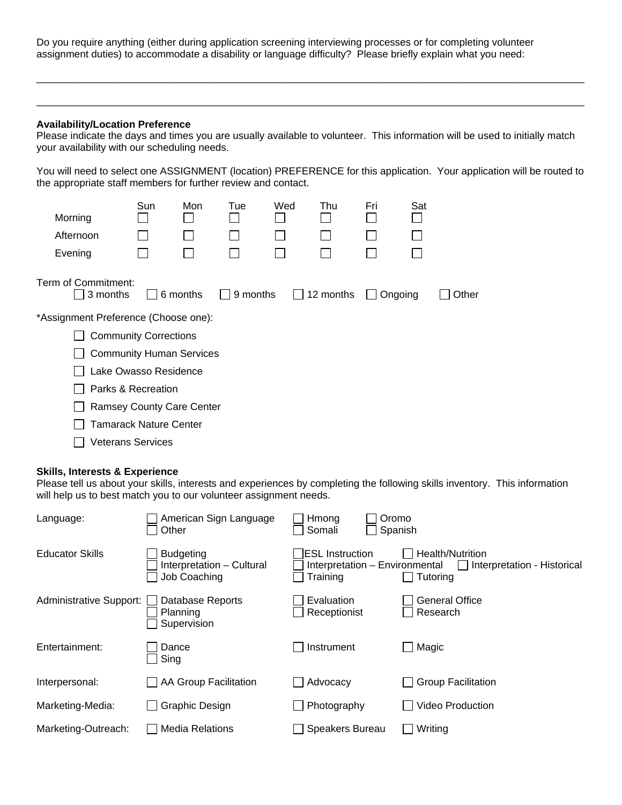Do you require anything (either during application screening interviewing processes or for completing volunteer assignment duties) to accommodate a disability or language difficulty? Please briefly explain what you need:

### **Availability/Location Preference**

Please indicate the days and times you are usually available to volunteer. This information will be used to initially match your availability with our scheduling needs.

\_\_\_\_\_\_\_\_\_\_\_\_\_\_\_\_\_\_\_\_\_\_\_\_\_\_\_\_\_\_\_\_\_\_\_\_\_\_\_\_\_\_\_\_\_\_\_\_\_\_\_\_\_\_\_\_\_\_\_\_\_\_\_\_\_\_\_\_\_\_\_\_\_\_\_\_\_\_\_\_\_\_\_\_\_\_\_\_\_\_\_\_\_\_\_\_\_

\_\_\_\_\_\_\_\_\_\_\_\_\_\_\_\_\_\_\_\_\_\_\_\_\_\_\_\_\_\_\_\_\_\_\_\_\_\_\_\_\_\_\_\_\_\_\_\_\_\_\_\_\_\_\_\_\_\_\_\_\_\_\_\_\_\_\_\_\_\_\_\_\_\_\_\_\_\_\_\_\_\_\_\_\_\_\_\_\_\_\_\_\_\_\_\_\_

You will need to select one ASSIGNMENT (location) PREFERENCE for this application. Your application will be routed to the appropriate staff members for further review and contact.

|                                      | Sun | Mon      | Tue             | Wed          | Thu       | Fri                     | Sat |       |  |
|--------------------------------------|-----|----------|-----------------|--------------|-----------|-------------------------|-----|-------|--|
| Morning                              |     |          |                 |              |           |                         |     |       |  |
| Afternoon                            |     |          |                 |              |           |                         |     |       |  |
| Evening                              |     |          |                 |              |           |                         |     |       |  |
| Term of Commitment:<br>3 months      |     | 6 months | $\Box$ 9 months | $\mathbf{1}$ | 12 months | Ongoing<br>$\mathbf{I}$ |     | Other |  |
| *Assignment Preference (Choose one): |     |          |                 |              |           |                         |     |       |  |
| <b>Community Corrections</b>         |     |          |                 |              |           |                         |     |       |  |
| <b>Community Human Services</b>      |     |          |                 |              |           |                         |     |       |  |
| Lake Owasso Residence                |     |          |                 |              |           |                         |     |       |  |
| Parks & Recreation                   |     |          |                 |              |           |                         |     |       |  |
| <b>Ramsey County Care Center</b>     |     |          |                 |              |           |                         |     |       |  |
| Tamarack Nature Center               |     |          |                 |              |           |                         |     |       |  |
| <b>Veterans Services</b>             |     |          |                 |              |           |                         |     |       |  |

#### **Skills, Interests & Experience**

Please tell us about your skills, interests and experiences by completing the following skills inventory. This information will help us to best match you to our volunteer assignment needs.

| Language:                      | American Sign Language<br>Other                               | Oromo<br>Hmong<br>Somali                                              | Spanish                                                            |
|--------------------------------|---------------------------------------------------------------|-----------------------------------------------------------------------|--------------------------------------------------------------------|
| <b>Educator Skills</b>         | <b>Budgeting</b><br>Interpretation - Cultural<br>Job Coaching | <b>IESL</b> Instruction<br>Interpretation - Environmental<br>Training | Health/Nutrition<br>$\Box$ Interpretation - Historical<br>Tutoring |
| <b>Administrative Support:</b> | Database Reports<br>Planning<br>Supervision                   | Evaluation<br>Receptionist                                            | <b>General Office</b><br>Research                                  |
| Entertainment:                 | Dance<br>Sing                                                 | Instrument                                                            | Magic                                                              |
| Interpersonal:                 | AA Group Facilitation                                         | Advocacy                                                              | <b>Group Facilitation</b>                                          |
| Marketing-Media:               | <b>Graphic Design</b>                                         | Photography                                                           | <b>Video Production</b>                                            |
| Marketing-Outreach:            | <b>Media Relations</b>                                        | <b>Speakers Bureau</b>                                                | Writing                                                            |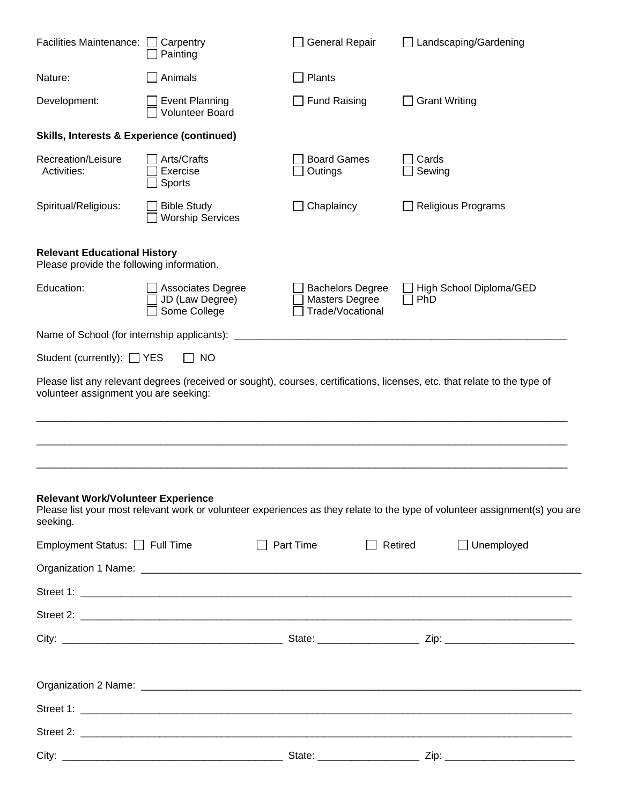| <b>Facilities Maintenance:</b>                                                   | Carpentry<br>Painting                                | <b>General Repair</b>                                                | Landscaping/Gardening                                                                                                      |
|----------------------------------------------------------------------------------|------------------------------------------------------|----------------------------------------------------------------------|----------------------------------------------------------------------------------------------------------------------------|
| Nature:                                                                          | Animals                                              | Plants                                                               |                                                                                                                            |
| Development:                                                                     | <b>Event Planning</b><br><b>Volunteer Board</b>      | <b>Fund Raising</b>                                                  | <b>Grant Writing</b>                                                                                                       |
| <b>Skills, Interests &amp; Experience (continued)</b>                            |                                                      |                                                                      |                                                                                                                            |
| Recreation/Leisure<br>Activities:                                                | Arts/Crafts<br>Exercise<br>Sports                    | <b>Board Games</b><br>Outings                                        | Cards<br>Sewing                                                                                                            |
| Spiritual/Religious:                                                             | <b>Bible Study</b><br><b>Worship Services</b>        | Chaplaincy                                                           | <b>Religious Programs</b>                                                                                                  |
| <b>Relevant Educational History</b><br>Please provide the following information. |                                                      |                                                                      |                                                                                                                            |
| Education:                                                                       | Associates Degree<br>JD (Law Degree)<br>Some College | <b>Bachelors Degree</b><br><b>Masters Degree</b><br>Trade/Vocational | High School Diploma/GED<br>PhD                                                                                             |
| Name of School (for internship applicants):                                      |                                                      |                                                                      |                                                                                                                            |
| Student (currently): $\Box$ YES                                                  | <b>NO</b>                                            |                                                                      |                                                                                                                            |
| volunteer assignment you are seeking:                                            |                                                      |                                                                      | Please list any relevant degrees (received or sought), courses, certifications, licenses, etc. that relate to the type of  |
| <b>Relevant Work/Volunteer Experience</b><br>seeking.                            |                                                      |                                                                      | Please list your most relevant work or volunteer experiences as they relate to the type of volunteer assignment(s) you are |
| Employment Status: C Full Time                                                   |                                                      | $\Box$ Part Time                                                     | $\Box$ Unemployed<br>$\Box$ Retired                                                                                        |
|                                                                                  |                                                      |                                                                      |                                                                                                                            |
|                                                                                  |                                                      |                                                                      |                                                                                                                            |
|                                                                                  |                                                      |                                                                      |                                                                                                                            |
|                                                                                  |                                                      |                                                                      |                                                                                                                            |
|                                                                                  |                                                      |                                                                      |                                                                                                                            |
|                                                                                  |                                                      |                                                                      |                                                                                                                            |
|                                                                                  |                                                      |                                                                      |                                                                                                                            |
|                                                                                  |                                                      |                                                                      |                                                                                                                            |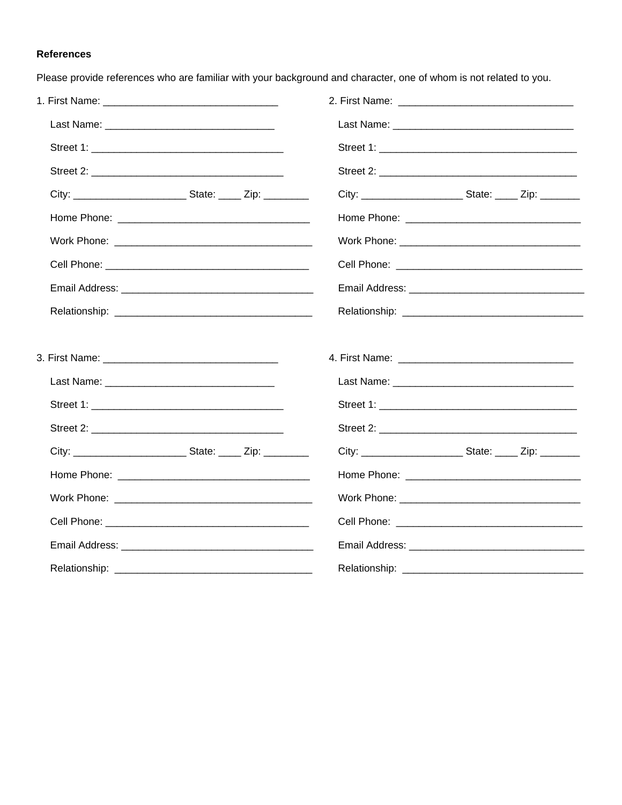# **References**

Please provide references who are familiar with your background and character, one of whom is not related to you.

| Work Phone: 2008 2010 2020 2020 2020 2021 2021 2022 2021 2022 2021 2022 2022 2022 2022 2022 2022 2022 2022 20 |
|---------------------------------------------------------------------------------------------------------------|
|                                                                                                               |
|                                                                                                               |
|                                                                                                               |
|                                                                                                               |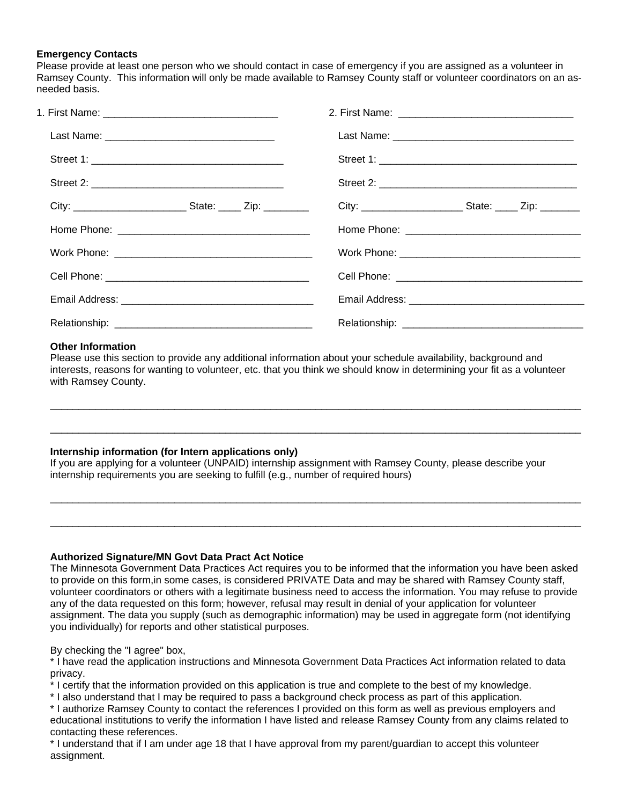#### **Emergency Contacts**

Please provide at least one person who we should contact in case of emergency if you are assigned as a volunteer in Ramsey County. This information will only be made available to Ramsey County staff or volunteer coordinators on an asneeded basis.

#### **Other Information**

Please use this section to provide any additional information about your schedule availability, background and interests, reasons for wanting to volunteer, etc. that you think we should know in determining your fit as a volunteer with Ramsey County.

\_\_\_\_\_\_\_\_\_\_\_\_\_\_\_\_\_\_\_\_\_\_\_\_\_\_\_\_\_\_\_\_\_\_\_\_\_\_\_\_\_\_\_\_\_\_\_\_\_\_\_\_\_\_\_\_\_\_\_\_\_\_\_\_\_\_\_\_\_\_\_\_\_\_\_\_\_\_\_\_\_\_\_\_\_\_\_\_\_\_\_\_\_\_

\_\_\_\_\_\_\_\_\_\_\_\_\_\_\_\_\_\_\_\_\_\_\_\_\_\_\_\_\_\_\_\_\_\_\_\_\_\_\_\_\_\_\_\_\_\_\_\_\_\_\_\_\_\_\_\_\_\_\_\_\_\_\_\_\_\_\_\_\_\_\_\_\_\_\_\_\_\_\_\_\_\_\_\_\_\_\_\_\_\_\_\_\_\_

\_\_\_\_\_\_\_\_\_\_\_\_\_\_\_\_\_\_\_\_\_\_\_\_\_\_\_\_\_\_\_\_\_\_\_\_\_\_\_\_\_\_\_\_\_\_\_\_\_\_\_\_\_\_\_\_\_\_\_\_\_\_\_\_\_\_\_\_\_\_\_\_\_\_\_\_\_\_\_\_\_\_\_\_\_\_\_\_\_\_\_\_\_\_

\_\_\_\_\_\_\_\_\_\_\_\_\_\_\_\_\_\_\_\_\_\_\_\_\_\_\_\_\_\_\_\_\_\_\_\_\_\_\_\_\_\_\_\_\_\_\_\_\_\_\_\_\_\_\_\_\_\_\_\_\_\_\_\_\_\_\_\_\_\_\_\_\_\_\_\_\_\_\_\_\_\_\_\_\_\_\_\_\_\_\_\_\_\_

#### **Internship information (for Intern applications only)**

If you are applying for a volunteer (UNPAID) internship assignment with Ramsey County, please describe your internship requirements you are seeking to fulfill (e.g., number of required hours)

#### **Authorized Signature/MN Govt Data Pract Act Notice**

The Minnesota Government Data Practices Act requires you to be informed that the information you have been asked to provide on this form,in some cases, is considered PRIVATE Data and may be shared with Ramsey County staff, volunteer coordinators or others with a legitimate business need to access the information. You may refuse to provide any of the data requested on this form; however, refusal may result in denial of your application for volunteer assignment. The data you supply (such as demographic information) may be used in aggregate form (not identifying you individually) for reports and other statistical purposes.

#### By checking the "I agree" box,

\* I have read the application instructions and Minnesota Government Data Practices Act information related to data privacy.

\* I certify that the information provided on this application is true and complete to the best of my knowledge.

\* I also understand that I may be required to pass a background check process as part of this application.

\* I authorize Ramsey County to contact the references I provided on this form as well as previous employers and educational institutions to verify the information I have listed and release Ramsey County from any claims related to contacting these references.

\* I understand that if I am under age 18 that I have approval from my parent/guardian to accept this volunteer assignment.